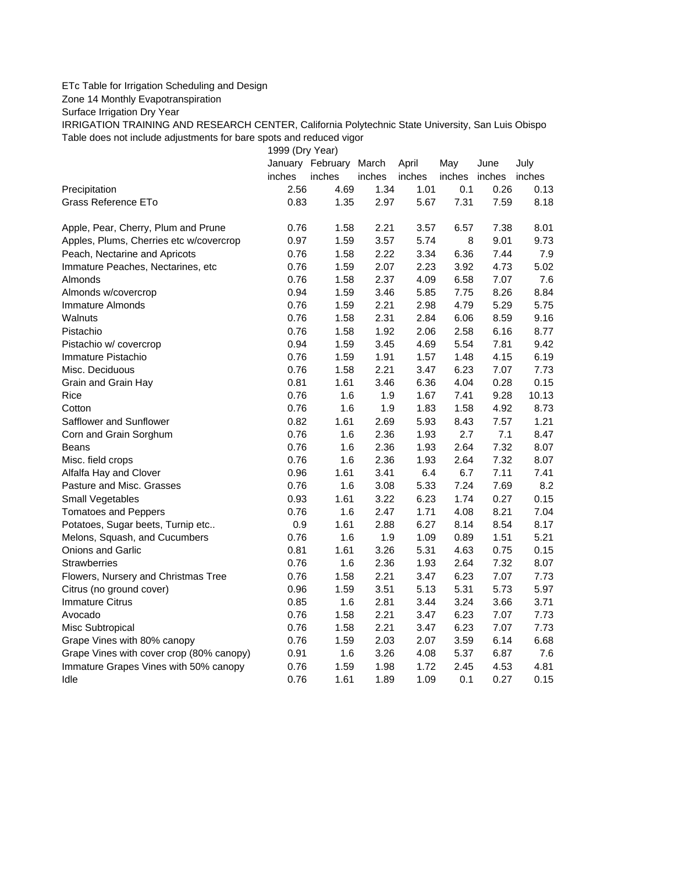## ETc Table for Irrigation Scheduling and Design

Zone 14 Monthly Evapotranspiration

Surface Irrigation Dry Year

IRRIGATION TRAINING AND RESEARCH CENTER, California Polytechnic State University, San Luis Obispo Table does not include adjustments for bare spots and reduced vigor

1999 (Dry Year)

|                                          |        | January February | March  | April  | May    | June   | July   |
|------------------------------------------|--------|------------------|--------|--------|--------|--------|--------|
|                                          | inches | inches           | inches | inches | inches | inches | inches |
| Precipitation                            | 2.56   | 4.69             | 1.34   | 1.01   | 0.1    | 0.26   | 0.13   |
| Grass Reference ETo                      | 0.83   | 1.35             | 2.97   | 5.67   | 7.31   | 7.59   | 8.18   |
| Apple, Pear, Cherry, Plum and Prune      | 0.76   | 1.58             | 2.21   | 3.57   | 6.57   | 7.38   | 8.01   |
| Apples, Plums, Cherries etc w/covercrop  | 0.97   | 1.59             | 3.57   | 5.74   | 8      | 9.01   | 9.73   |
| Peach, Nectarine and Apricots            | 0.76   | 1.58             | 2.22   | 3.34   | 6.36   | 7.44   | 7.9    |
| Immature Peaches, Nectarines, etc        | 0.76   | 1.59             | 2.07   | 2.23   | 3.92   | 4.73   | 5.02   |
| Almonds                                  | 0.76   | 1.58             | 2.37   | 4.09   | 6.58   | 7.07   | 7.6    |
| Almonds w/covercrop                      | 0.94   | 1.59             | 3.46   | 5.85   | 7.75   | 8.26   | 8.84   |
| Immature Almonds                         | 0.76   | 1.59             | 2.21   | 2.98   | 4.79   | 5.29   | 5.75   |
| Walnuts                                  | 0.76   | 1.58             | 2.31   | 2.84   | 6.06   | 8.59   | 9.16   |
| Pistachio                                | 0.76   | 1.58             | 1.92   | 2.06   | 2.58   | 6.16   | 8.77   |
| Pistachio w/ covercrop                   | 0.94   | 1.59             | 3.45   | 4.69   | 5.54   | 7.81   | 9.42   |
| Immature Pistachio                       | 0.76   | 1.59             | 1.91   | 1.57   | 1.48   | 4.15   | 6.19   |
| Misc. Deciduous                          | 0.76   | 1.58             | 2.21   | 3.47   | 6.23   | 7.07   | 7.73   |
| Grain and Grain Hay                      | 0.81   | 1.61             | 3.46   | 6.36   | 4.04   | 0.28   | 0.15   |
| Rice                                     | 0.76   | 1.6              | 1.9    | 1.67   | 7.41   | 9.28   | 10.13  |
| Cotton                                   | 0.76   | 1.6              | 1.9    | 1.83   | 1.58   | 4.92   | 8.73   |
| Safflower and Sunflower                  | 0.82   | 1.61             | 2.69   | 5.93   | 8.43   | 7.57   | 1.21   |
| Corn and Grain Sorghum                   | 0.76   | 1.6              | 2.36   | 1.93   | 2.7    | 7.1    | 8.47   |
| Beans                                    | 0.76   | 1.6              | 2.36   | 1.93   | 2.64   | 7.32   | 8.07   |
| Misc. field crops                        | 0.76   | 1.6              | 2.36   | 1.93   | 2.64   | 7.32   | 8.07   |
| Alfalfa Hay and Clover                   | 0.96   | 1.61             | 3.41   | 6.4    | 6.7    | 7.11   | 7.41   |
| Pasture and Misc. Grasses                | 0.76   | 1.6              | 3.08   | 5.33   | 7.24   | 7.69   | 8.2    |
| Small Vegetables                         | 0.93   | 1.61             | 3.22   | 6.23   | 1.74   | 0.27   | 0.15   |
| <b>Tomatoes and Peppers</b>              | 0.76   | 1.6              | 2.47   | 1.71   | 4.08   | 8.21   | 7.04   |
| Potatoes, Sugar beets, Turnip etc        | 0.9    | 1.61             | 2.88   | 6.27   | 8.14   | 8.54   | 8.17   |
| Melons, Squash, and Cucumbers            | 0.76   | 1.6              | 1.9    | 1.09   | 0.89   | 1.51   | 5.21   |
| Onions and Garlic                        | 0.81   | 1.61             | 3.26   | 5.31   | 4.63   | 0.75   | 0.15   |
| <b>Strawberries</b>                      | 0.76   | 1.6              | 2.36   | 1.93   | 2.64   | 7.32   | 8.07   |
| Flowers, Nursery and Christmas Tree      | 0.76   | 1.58             | 2.21   | 3.47   | 6.23   | 7.07   | 7.73   |
| Citrus (no ground cover)                 | 0.96   | 1.59             | 3.51   | 5.13   | 5.31   | 5.73   | 5.97   |
| <b>Immature Citrus</b>                   | 0.85   | 1.6              | 2.81   | 3.44   | 3.24   | 3.66   | 3.71   |
| Avocado                                  | 0.76   | 1.58             | 2.21   | 3.47   | 6.23   | 7.07   | 7.73   |
| Misc Subtropical                         | 0.76   | 1.58             | 2.21   | 3.47   | 6.23   | 7.07   | 7.73   |
| Grape Vines with 80% canopy              | 0.76   | 1.59             | 2.03   | 2.07   | 3.59   | 6.14   | 6.68   |
| Grape Vines with cover crop (80% canopy) | 0.91   | 1.6              | 3.26   | 4.08   | 5.37   | 6.87   | 7.6    |
| Immature Grapes Vines with 50% canopy    | 0.76   | 1.59             | 1.98   | 1.72   | 2.45   | 4.53   | 4.81   |
| Idle                                     | 0.76   | 1.61             | 1.89   | 1.09   | 0.1    | 0.27   | 0.15   |